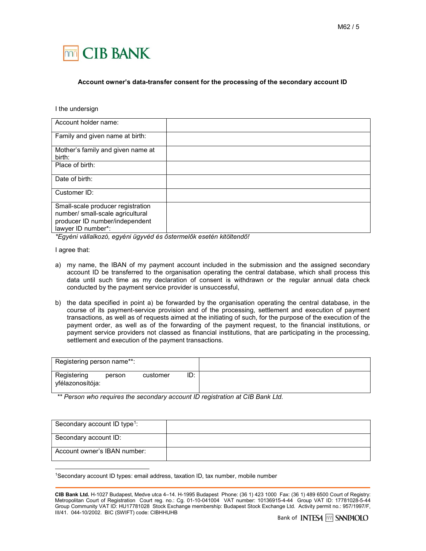

## Account owner's data-transfer consent for the processing of the secondary account ID

I the undersign

| Account holder name:                                                                                                          |  |
|-------------------------------------------------------------------------------------------------------------------------------|--|
| Family and given name at birth:                                                                                               |  |
| Mother's family and given name at<br>birth:                                                                                   |  |
| Place of birth:                                                                                                               |  |
| Date of birth:                                                                                                                |  |
| Customer ID:                                                                                                                  |  |
| Small-scale producer registration<br>number/ small-scale agricultural<br>producer ID number/independent<br>lawyer ID number*: |  |

\*Egyéni vállalkozó, egyéni ügyvéd és őstermelők esetén kitöltendő!

I agree that:

-

- a) my name, the IBAN of my payment account included in the submission and the assigned secondary account ID be transferred to the organisation operating the central database, which shall process this data until such time as my declaration of consent is withdrawn or the regular annual data check conducted by the payment service provider is unsuccessful,
- b) the data specified in point a) be forwarded by the organisation operating the central database, in the course of its payment-service provision and of the processing, settlement and execution of payment transactions, as well as of requests aimed at the initiating of such, for the purpose of the execution of the payment order, as well as of the forwarding of the payment request, to the financial institutions, or payment service providers not classed as financial institutions, that are participating in the processing, settlement and execution of the payment transactions.

| Registering person name**:      |        |          |     |
|---------------------------------|--------|----------|-----|
| Registering<br>yfélazonosítója: | person | customer | ID: |

\*\* Person who requires the secondary account ID registration at CIB Bank Ltd.

| Secondary account ID type <sup>1</sup> : |  |
|------------------------------------------|--|
| Secondary account ID:                    |  |
| Account owner's IBAN number:             |  |

1Secondary account ID types: email address, taxation ID, tax number, mobile number

CIB Bank Ltd. H-1027 Budapest, Medve utca 4–14. H-1995 Budapest Phone: (36 1) 423 1000 Fax: (36 1) 489 6500 Court of Registry: Metropolitan Court of Registration Court reg. no.: Cg. 01-10-041004 VAT number: 10136915-4-44 Group VAT ID: 17781028-5-44 Group Community VAT ID: HU17781028 Stock Exchange membership: Budapest Stock Exchange Ltd. Activity permit no.: 957/1997/F, III/41. 044-10/2002. BIC (SWIFT) code: CIBHHUHB